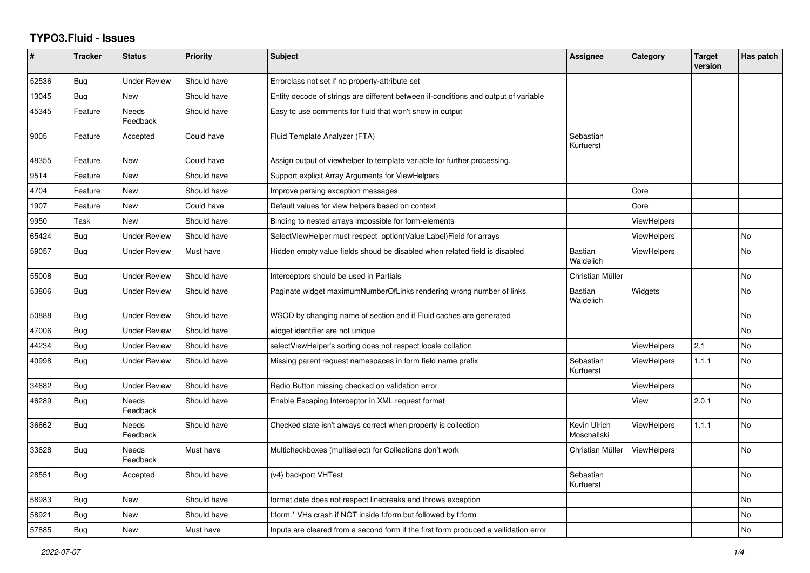## **TYPO3.Fluid - Issues**

| #     | <b>Tracker</b> | <b>Status</b>            | Priority    | <b>Subject</b>                                                                       | Assignee                    | Category           | <b>Target</b><br>version | Has patch      |
|-------|----------------|--------------------------|-------------|--------------------------------------------------------------------------------------|-----------------------------|--------------------|--------------------------|----------------|
| 52536 | Bug            | <b>Under Review</b>      | Should have | Errorclass not set if no property-attribute set                                      |                             |                    |                          |                |
| 13045 | Bug            | New                      | Should have | Entity decode of strings are different between if-conditions and output of variable  |                             |                    |                          |                |
| 45345 | Feature        | <b>Needs</b><br>Feedback | Should have | Easy to use comments for fluid that won't show in output                             |                             |                    |                          |                |
| 9005  | Feature        | Accepted                 | Could have  | Fluid Template Analyzer (FTA)                                                        | Sebastian<br>Kurfuerst      |                    |                          |                |
| 48355 | Feature        | <b>New</b>               | Could have  | Assign output of viewhelper to template variable for further processing.             |                             |                    |                          |                |
| 9514  | Feature        | New                      | Should have | Support explicit Array Arguments for ViewHelpers                                     |                             |                    |                          |                |
| 4704  | Feature        | New                      | Should have | Improve parsing exception messages                                                   |                             | Core               |                          |                |
| 1907  | Feature        | New                      | Could have  | Default values for view helpers based on context                                     |                             | Core               |                          |                |
| 9950  | Task           | New                      | Should have | Binding to nested arrays impossible for form-elements                                |                             | <b>ViewHelpers</b> |                          |                |
| 65424 | <b>Bug</b>     | <b>Under Review</b>      | Should have | SelectViewHelper must respect option(Value Label)Field for arrays                    |                             | ViewHelpers        |                          | <b>No</b>      |
| 59057 | <b>Bug</b>     | <b>Under Review</b>      | Must have   | Hidden empty value fields shoud be disabled when related field is disabled           | <b>Bastian</b><br>Waidelich | <b>ViewHelpers</b> |                          | <b>No</b>      |
| 55008 | Bug            | <b>Under Review</b>      | Should have | Interceptors should be used in Partials                                              | Christian Müller            |                    |                          | No             |
| 53806 | Bug            | <b>Under Review</b>      | Should have | Paginate widget maximumNumberOfLinks rendering wrong number of links                 | <b>Bastian</b><br>Waidelich | Widgets            |                          | <b>No</b>      |
| 50888 | Bug            | <b>Under Review</b>      | Should have | WSOD by changing name of section and if Fluid caches are generated                   |                             |                    |                          | <b>No</b>      |
| 47006 | <b>Bug</b>     | <b>Under Review</b>      | Should have | widget identifier are not unique                                                     |                             |                    |                          | N <sub>o</sub> |
| 44234 | Bug            | <b>Under Review</b>      | Should have | selectViewHelper's sorting does not respect locale collation                         |                             | <b>ViewHelpers</b> | 2.1                      | No             |
| 40998 | Bug            | <b>Under Review</b>      | Should have | Missing parent request namespaces in form field name prefix                          | Sebastian<br>Kurfuerst      | <b>ViewHelpers</b> | 1.1.1                    | No             |
| 34682 | Bug            | <b>Under Review</b>      | Should have | Radio Button missing checked on validation error                                     |                             | <b>ViewHelpers</b> |                          | <b>No</b>      |
| 46289 | Bug            | Needs<br>Feedback        | Should have | Enable Escaping Interceptor in XML request format                                    |                             | View               | 2.0.1                    | No             |
| 36662 | <b>Bug</b>     | <b>Needs</b><br>Feedback | Should have | Checked state isn't always correct when property is collection                       | Kevin Ulrich<br>Moschallski | <b>ViewHelpers</b> | 1.1.1                    | <b>No</b>      |
| 33628 | Bug            | Needs<br>Feedback        | Must have   | Multicheckboxes (multiselect) for Collections don't work                             | Christian Müller            | <b>ViewHelpers</b> |                          | <b>No</b>      |
| 28551 | <b>Bug</b>     | Accepted                 | Should have | (v4) backport VHTest                                                                 | Sebastian<br>Kurfuerst      |                    |                          | <b>No</b>      |
| 58983 | Bug            | New                      | Should have | format.date does not respect linebreaks and throws exception                         |                             |                    |                          | <b>No</b>      |
| 58921 | <b>Bug</b>     | New                      | Should have | f:form.* VHs crash if NOT inside f:form but followed by f:form                       |                             |                    |                          | No             |
| 57885 | <b>Bug</b>     | <b>New</b>               | Must have   | Inputs are cleared from a second form if the first form produced a vallidation error |                             |                    |                          | No             |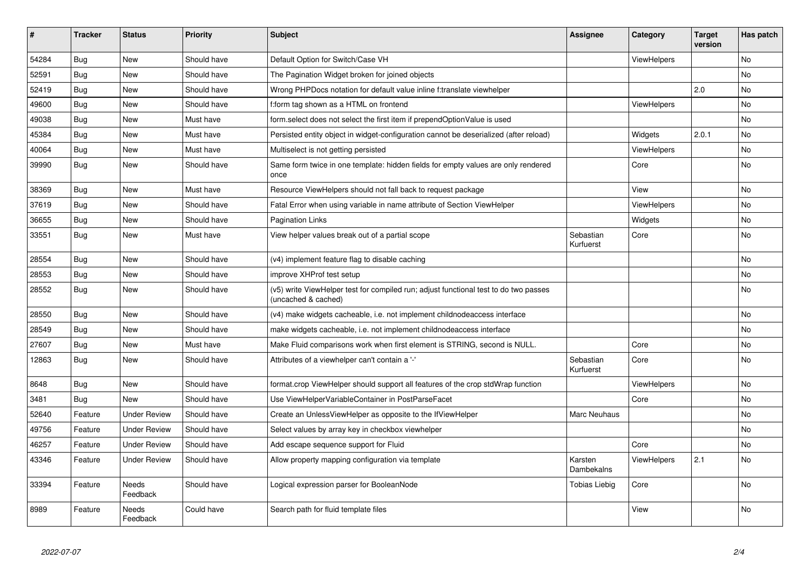| #     | <b>Tracker</b> | <b>Status</b>       | <b>Priority</b> | Subject                                                                                                     | Assignee               | Category           | <b>Target</b><br>version | Has patch |
|-------|----------------|---------------------|-----------------|-------------------------------------------------------------------------------------------------------------|------------------------|--------------------|--------------------------|-----------|
| 54284 | Bug            | <b>New</b>          | Should have     | Default Option for Switch/Case VH                                                                           |                        | ViewHelpers        |                          | <b>No</b> |
| 52591 | <b>Bug</b>     | New                 | Should have     | The Pagination Widget broken for joined objects                                                             |                        |                    |                          | <b>No</b> |
| 52419 | Bug            | New                 | Should have     | Wrong PHPDocs notation for default value inline f:translate viewhelper                                      |                        |                    | 2.0                      | No        |
| 49600 | Bug            | New                 | Should have     | f:form tag shown as a HTML on frontend                                                                      |                        | ViewHelpers        |                          | No        |
| 49038 | Bug            | New                 | Must have       | form.select does not select the first item if prependOptionValue is used                                    |                        |                    |                          | <b>No</b> |
| 45384 | Bug            | New                 | Must have       | Persisted entity object in widget-configuration cannot be deserialized (after reload)                       |                        | Widgets            | 2.0.1                    | No        |
| 40064 | Bug            | New                 | Must have       | Multiselect is not getting persisted                                                                        |                        | <b>ViewHelpers</b> |                          | No        |
| 39990 | Bug            | New                 | Should have     | Same form twice in one template: hidden fields for empty values are only rendered<br>once                   |                        | Core               |                          | No        |
| 38369 | Bug            | New                 | Must have       | Resource ViewHelpers should not fall back to request package                                                |                        | View               |                          | No        |
| 37619 | <b>Bug</b>     | New                 | Should have     | Fatal Error when using variable in name attribute of Section ViewHelper                                     |                        | ViewHelpers        |                          | No        |
| 36655 | Bug            | New                 | Should have     | Pagination Links                                                                                            |                        | Widgets            |                          | No        |
| 33551 | Bug            | New                 | Must have       | View helper values break out of a partial scope                                                             | Sebastian<br>Kurfuerst | Core               |                          | No        |
| 28554 | Bug            | New                 | Should have     | (v4) implement feature flag to disable caching                                                              |                        |                    |                          | No        |
| 28553 | Bug            | New                 | Should have     | improve XHProf test setup                                                                                   |                        |                    |                          | No        |
| 28552 | Bug            | New                 | Should have     | (v5) write ViewHelper test for compiled run; adjust functional test to do two passes<br>(uncached & cached) |                        |                    |                          | No        |
| 28550 | <b>Bug</b>     | New                 | Should have     | (v4) make widgets cacheable, i.e. not implement childnodeaccess interface                                   |                        |                    |                          | No        |
| 28549 | <b>Bug</b>     | New                 | Should have     | make widgets cacheable, i.e. not implement childnodeaccess interface                                        |                        |                    |                          | No        |
| 27607 | Bug            | New                 | Must have       | Make Fluid comparisons work when first element is STRING, second is NULL.                                   |                        | Core               |                          | No        |
| 12863 | Bug            | New                 | Should have     | Attributes of a viewhelper can't contain a '-'                                                              | Sebastian<br>Kurfuerst | Core               |                          | No        |
| 8648  | Bug            | New                 | Should have     | format.crop ViewHelper should support all features of the crop stdWrap function                             |                        | ViewHelpers        |                          | No        |
| 3481  | <b>Bug</b>     | <b>New</b>          | Should have     | Use ViewHelperVariableContainer in PostParseFacet                                                           |                        | Core               |                          | No        |
| 52640 | Feature        | <b>Under Review</b> | Should have     | Create an UnlessViewHelper as opposite to the IfViewHelper                                                  | <b>Marc Neuhaus</b>    |                    |                          | No        |
| 49756 | Feature        | <b>Under Review</b> | Should have     | Select values by array key in checkbox viewhelper                                                           |                        |                    |                          | <b>No</b> |
| 46257 | Feature        | <b>Under Review</b> | Should have     | Add escape sequence support for Fluid                                                                       |                        | Core               |                          | No        |
| 43346 | Feature        | <b>Under Review</b> | Should have     | Allow property mapping configuration via template                                                           | Karsten<br>Dambekalns  | ViewHelpers        | 2.1                      | No        |
| 33394 | Feature        | Needs<br>Feedback   | Should have     | Logical expression parser for BooleanNode                                                                   | <b>Tobias Liebig</b>   | Core               |                          | No        |
| 8989  | Feature        | Needs<br>Feedback   | Could have      | Search path for fluid template files                                                                        |                        | View               |                          | No        |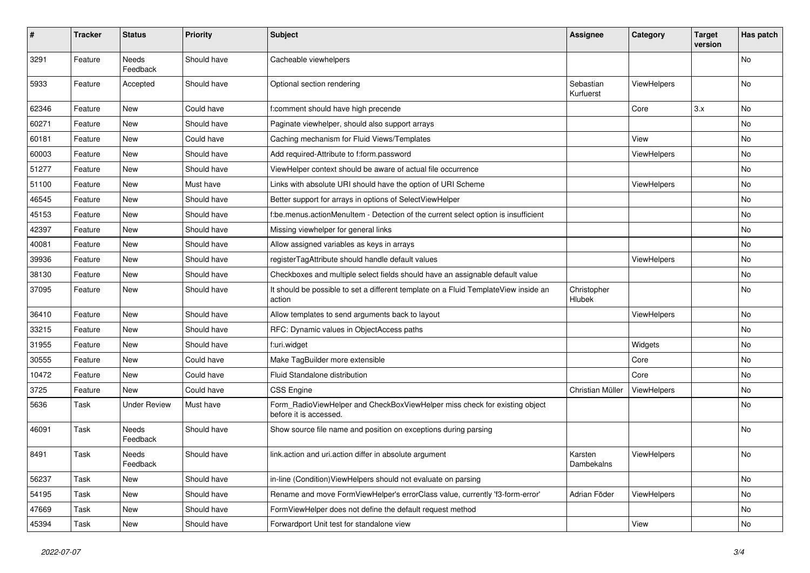| $\sharp$ | <b>Tracker</b> | <b>Status</b>            | <b>Priority</b> | <b>Subject</b>                                                                                       | <b>Assignee</b>        | Category    | <b>Target</b><br>version | Has patch |
|----------|----------------|--------------------------|-----------------|------------------------------------------------------------------------------------------------------|------------------------|-------------|--------------------------|-----------|
| 3291     | Feature        | <b>Needs</b><br>Feedback | Should have     | Cacheable viewhelpers                                                                                |                        |             |                          | <b>No</b> |
| 5933     | Feature        | Accepted                 | Should have     | Optional section rendering                                                                           | Sebastian<br>Kurfuerst | ViewHelpers |                          | No        |
| 62346    | Feature        | New                      | Could have      | f:comment should have high precende                                                                  |                        | Core        | 3.x                      | No        |
| 60271    | Feature        | <b>New</b>               | Should have     | Paginate viewhelper, should also support arrays                                                      |                        |             |                          | <b>No</b> |
| 60181    | Feature        | New                      | Could have      | Caching mechanism for Fluid Views/Templates                                                          |                        | View        |                          | No        |
| 60003    | Feature        | New                      | Should have     | Add required-Attribute to f:form.password                                                            |                        | ViewHelpers |                          | <b>No</b> |
| 51277    | Feature        | New                      | Should have     | ViewHelper context should be aware of actual file occurrence                                         |                        |             |                          | No        |
| 51100    | Feature        | New                      | Must have       | Links with absolute URI should have the option of URI Scheme                                         |                        | ViewHelpers |                          | No        |
| 46545    | Feature        | New                      | Should have     | Better support for arrays in options of SelectViewHelper                                             |                        |             |                          | No        |
| 45153    | Feature        | New                      | Should have     | f:be.menus.actionMenuItem - Detection of the current select option is insufficient                   |                        |             |                          | No        |
| 42397    | Feature        | New                      | Should have     | Missing viewhelper for general links                                                                 |                        |             |                          | No        |
| 40081    | Feature        | New                      | Should have     | Allow assigned variables as keys in arrays                                                           |                        |             |                          | No        |
| 39936    | Feature        | New                      | Should have     | registerTagAttribute should handle default values                                                    |                        | ViewHelpers |                          | No        |
| 38130    | Feature        | New                      | Should have     | Checkboxes and multiple select fields should have an assignable default value                        |                        |             |                          | No        |
| 37095    | Feature        | New                      | Should have     | It should be possible to set a different template on a Fluid TemplateView inside an<br>action        | Christopher<br>Hlubek  |             |                          | No        |
| 36410    | Feature        | New                      | Should have     | Allow templates to send arguments back to layout                                                     |                        | ViewHelpers |                          | No        |
| 33215    | Feature        | New                      | Should have     | RFC: Dynamic values in ObjectAccess paths                                                            |                        |             |                          | No        |
| 31955    | Feature        | New                      | Should have     | f:uri.widget                                                                                         |                        | Widgets     |                          | No        |
| 30555    | Feature        | New                      | Could have      | Make TagBuilder more extensible                                                                      |                        | Core        |                          | No        |
| 10472    | Feature        | New                      | Could have      | Fluid Standalone distribution                                                                        |                        | Core        |                          | No        |
| 3725     | Feature        | New                      | Could have      | <b>CSS Engine</b>                                                                                    | Christian Müller       | ViewHelpers |                          | No        |
| 5636     | Task           | <b>Under Review</b>      | Must have       | Form_RadioViewHelper and CheckBoxViewHelper miss check for existing object<br>before it is accessed. |                        |             |                          | No        |
| 46091    | Task           | Needs<br>Feedback        | Should have     | Show source file name and position on exceptions during parsing                                      |                        |             |                          | No        |
| 8491     | Task           | Needs<br>Feedback        | Should have     | link.action and uri.action differ in absolute argument                                               | Karsten<br>Dambekalns  | ViewHelpers |                          | No        |
| 56237    | Task           | New                      | Should have     | in-line (Condition) ViewHelpers should not evaluate on parsing                                       |                        |             |                          | No        |
| 54195    | Task           | New                      | Should have     | Rename and move FormViewHelper's errorClass value, currently 'f3-form-error'                         | Adrian Föder           | ViewHelpers |                          | No        |
| 47669    | Task           | New                      | Should have     | FormViewHelper does not define the default request method                                            |                        |             |                          | No        |
| 45394    | Task           | New                      | Should have     | Forwardport Unit test for standalone view                                                            |                        | View        |                          | No        |